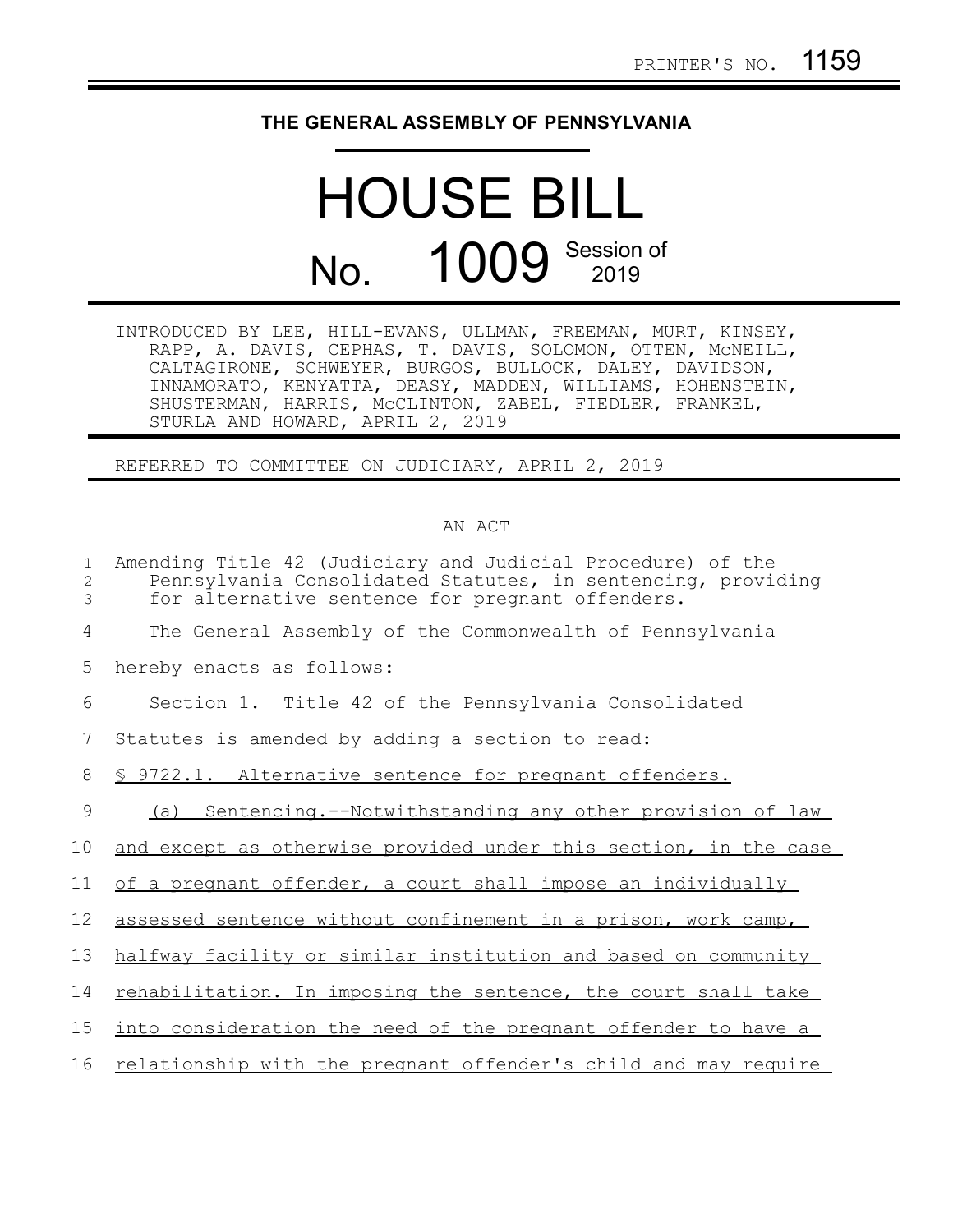## **THE GENERAL ASSEMBLY OF PENNSYLVANIA**

## HOUSE BILL No. 1009 Session of

INTRODUCED BY LEE, HILL-EVANS, ULLMAN, FREEMAN, MURT, KINSEY, RAPP, A. DAVIS, CEPHAS, T. DAVIS, SOLOMON, OTTEN, McNEILL, CALTAGIRONE, SCHWEYER, BURGOS, BULLOCK, DALEY, DAVIDSON, INNAMORATO, KENYATTA, DEASY, MADDEN, WILLIAMS, HOHENSTEIN, SHUSTERMAN, HARRIS, McCLINTON, ZABEL, FIEDLER, FRANKEL, STURLA AND HOWARD, APRIL 2, 2019

REFERRED TO COMMITTEE ON JUDICIARY, APRIL 2, 2019

## AN ACT

| Amending Title 42 (Judiciary and Judicial Procedure) of the<br>Pennsylvania Consolidated Statutes, in sentencing, providing<br>for alternative sentence for pregnant offenders. |
|---------------------------------------------------------------------------------------------------------------------------------------------------------------------------------|
| The General Assembly of the Commonwealth of Pennsylvania                                                                                                                        |
| hereby enacts as follows:                                                                                                                                                       |
| Section 1. Title 42 of the Pennsylvania Consolidated                                                                                                                            |
| Statutes is amended by adding a section to read:                                                                                                                                |
| <u>§ 9722.1. Alternative sentence for pregnant offenders.</u>                                                                                                                   |
| Sentencing.--Notwithstanding any other provision of law<br>(a)                                                                                                                  |
| and except as otherwise provided under this section, in the case                                                                                                                |
| of a pregnant offender, a court shall impose an individually                                                                                                                    |
| assessed sentence without confinement in a prison, work camp,                                                                                                                   |
| halfway facility or similar institution and based on community                                                                                                                  |
| rehabilitation. In imposing the sentence, the court shall take                                                                                                                  |
| into consideration the need of the pregnant offender to have a                                                                                                                  |
| relationship with the pregnant offender's child and may require                                                                                                                 |
|                                                                                                                                                                                 |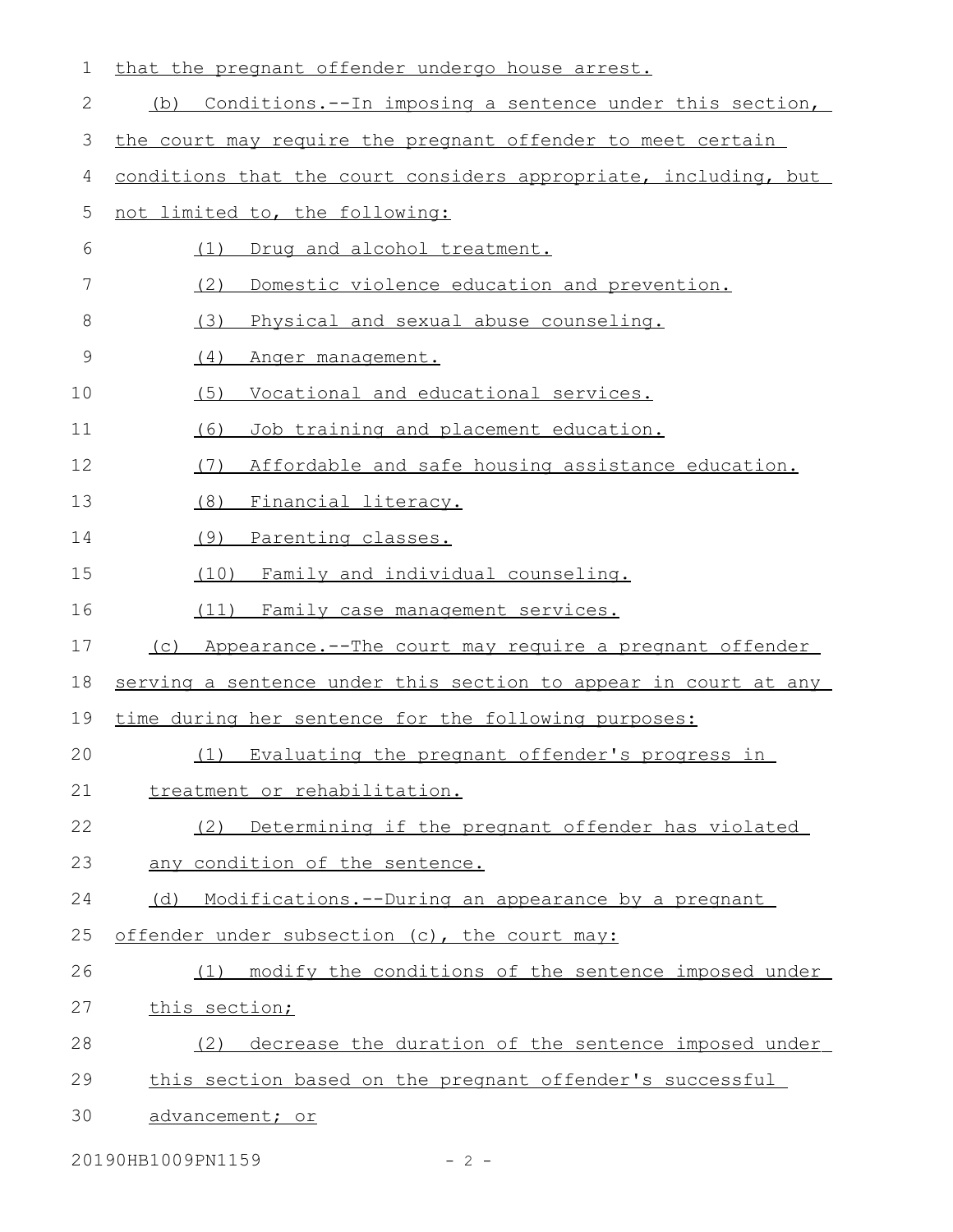| 1            | that the pregnant offender undergo house arrest.                |
|--------------|-----------------------------------------------------------------|
| $\mathbf{2}$ | Conditions.--In imposing a sentence under this section,<br>(b)  |
| 3            | the court may require the pregnant offender to meet certain     |
| 4            | conditions that the court considers appropriate, including, but |
| 5            | not limited to, the following:                                  |
| 6            | Drug and alcohol treatment.<br>(1)                              |
| 7            | (2)<br>Domestic violence education and prevention.              |
| 8            | (3)<br>Physical and sexual abuse counseling.                    |
| 9            | (4)<br>Anger management.                                        |
| 10           | (5)<br>Vocational and educational services.                     |
| 11           | (6)<br>Job training and placement education.                    |
| 12           | (7)<br>Affordable and safe housing assistance education.        |
| 13           | (8)<br>Financial literacy.                                      |
| 14           | (9)<br>Parenting classes.                                       |
| 15           | (10) Family and individual counseling.                          |
|              | (11) Family case management services.                           |
| 16           |                                                                 |
| 17           | Appearance.--The court may require a pregnant offender<br>(C)   |
| 18           | serving a sentence under this section to appear in court at any |
| 19           | time during her sentence for the following purposes:            |
| 20           | (1) Evaluating the pregnant offender's progress in              |
| 21           | treatment or rehabilitation.                                    |
| 22           | (2) Determining if the pregnant offender has violated           |
| 23           | any condition of the sentence.                                  |
| 24           | (d) Modifications.--During an appearance by a pregnant          |
| 25           | offender under subsection (c), the court may:                   |
| 26           | modify the conditions of the sentence imposed under<br>(1)      |
| 27           | this section;                                                   |
| 28           | decrease the duration of the sentence imposed under<br>(2)      |
| 29           | this section based on the pregnant offender's successful        |

20190HB1009PN1159 - 2 -